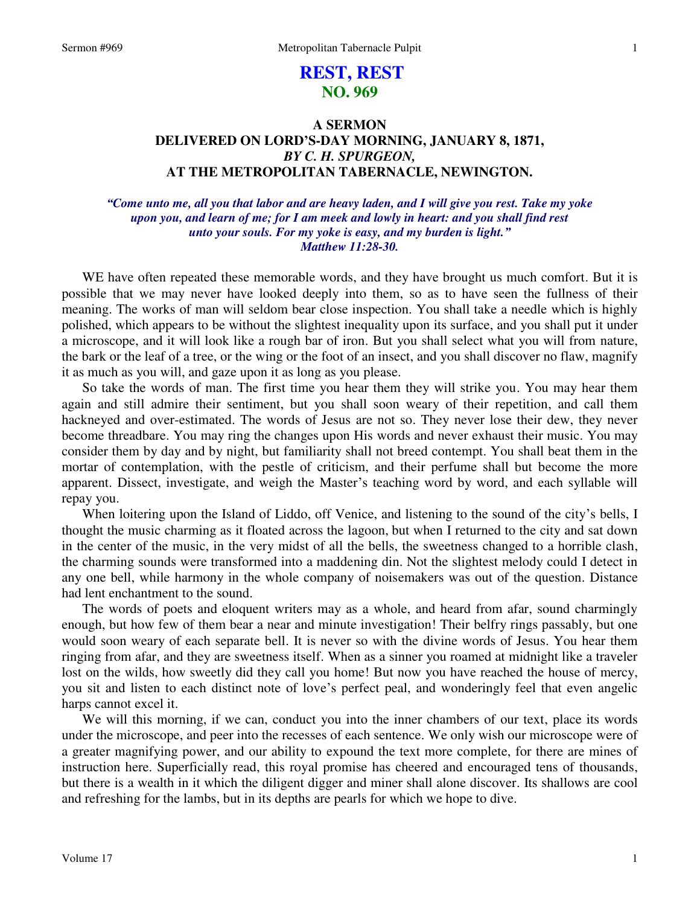# **REST, REST NO. 969**

## **A SERMON DELIVERED ON LORD'S-DAY MORNING, JANUARY 8, 1871,**  *BY C. H. SPURGEON,*  **AT THE METROPOLITAN TABERNACLE, NEWINGTON.**

### *"Come unto me, all you that labor and are heavy laden, and I will give you rest. Take my yoke upon you, and learn of me; for I am meek and lowly in heart: and you shall find rest unto your souls. For my yoke is easy, and my burden is light." Matthew 11:28-30.*

WE have often repeated these memorable words, and they have brought us much comfort. But it is possible that we may never have looked deeply into them, so as to have seen the fullness of their meaning. The works of man will seldom bear close inspection. You shall take a needle which is highly polished, which appears to be without the slightest inequality upon its surface, and you shall put it under a microscope, and it will look like a rough bar of iron. But you shall select what you will from nature, the bark or the leaf of a tree, or the wing or the foot of an insect, and you shall discover no flaw, magnify it as much as you will, and gaze upon it as long as you please.

So take the words of man. The first time you hear them they will strike you. You may hear them again and still admire their sentiment, but you shall soon weary of their repetition, and call them hackneyed and over-estimated. The words of Jesus are not so. They never lose their dew, they never become threadbare. You may ring the changes upon His words and never exhaust their music. You may consider them by day and by night, but familiarity shall not breed contempt. You shall beat them in the mortar of contemplation, with the pestle of criticism, and their perfume shall but become the more apparent. Dissect, investigate, and weigh the Master's teaching word by word, and each syllable will repay you.

When loitering upon the Island of Liddo, off Venice, and listening to the sound of the city's bells, I thought the music charming as it floated across the lagoon, but when I returned to the city and sat down in the center of the music, in the very midst of all the bells, the sweetness changed to a horrible clash, the charming sounds were transformed into a maddening din. Not the slightest melody could I detect in any one bell, while harmony in the whole company of noisemakers was out of the question. Distance had lent enchantment to the sound.

The words of poets and eloquent writers may as a whole, and heard from afar, sound charmingly enough, but how few of them bear a near and minute investigation! Their belfry rings passably, but one would soon weary of each separate bell. It is never so with the divine words of Jesus. You hear them ringing from afar, and they are sweetness itself. When as a sinner you roamed at midnight like a traveler lost on the wilds, how sweetly did they call you home! But now you have reached the house of mercy, you sit and listen to each distinct note of love's perfect peal, and wonderingly feel that even angelic harps cannot excel it.

We will this morning, if we can, conduct you into the inner chambers of our text, place its words under the microscope, and peer into the recesses of each sentence. We only wish our microscope were of a greater magnifying power, and our ability to expound the text more complete, for there are mines of instruction here. Superficially read, this royal promise has cheered and encouraged tens of thousands, but there is a wealth in it which the diligent digger and miner shall alone discover. Its shallows are cool and refreshing for the lambs, but in its depths are pearls for which we hope to dive.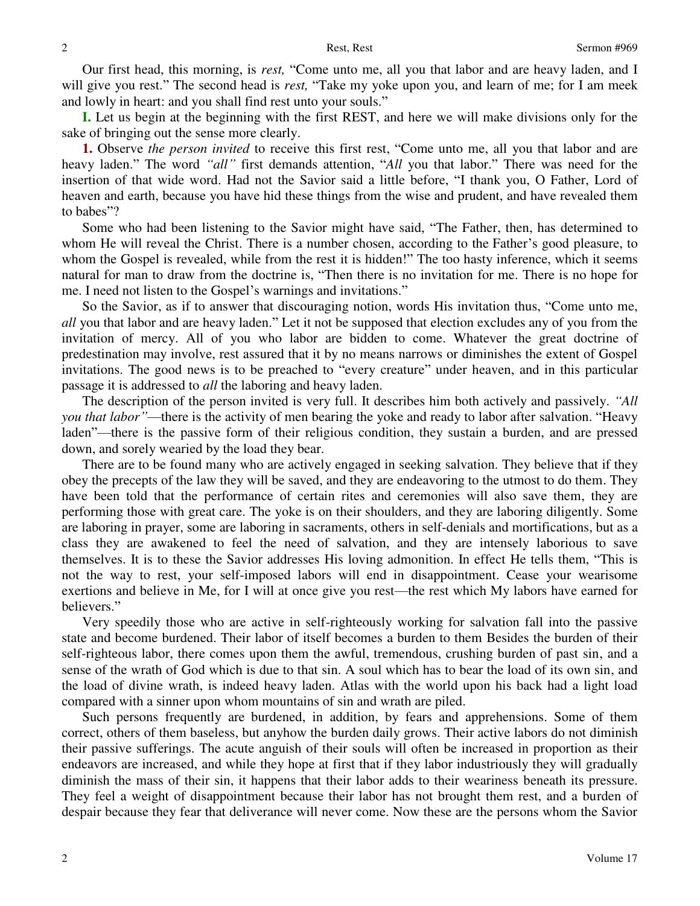Our first head, this morning, is *rest,* "Come unto me, all you that labor and are heavy laden, and I will give you rest." The second head is *rest,* "Take my yoke upon you, and learn of me; for I am meek and lowly in heart: and you shall find rest unto your souls."

**I.** Let us begin at the beginning with the first REST, and here we will make divisions only for the sake of bringing out the sense more clearly.

**1.** Observe *the person invited* to receive this first rest, "Come unto me, all you that labor and are heavy laden." The word *"all"* first demands attention, "*All* you that labor." There was need for the insertion of that wide word. Had not the Savior said a little before, "I thank you, O Father, Lord of heaven and earth, because you have hid these things from the wise and prudent, and have revealed them to babes"?

Some who had been listening to the Savior might have said, "The Father, then, has determined to whom He will reveal the Christ. There is a number chosen, according to the Father's good pleasure, to whom the Gospel is revealed, while from the rest it is hidden!" The too hasty inference, which it seems natural for man to draw from the doctrine is, "Then there is no invitation for me. There is no hope for me. I need not listen to the Gospel's warnings and invitations."

So the Savior, as if to answer that discouraging notion, words His invitation thus, "Come unto me, *all* you that labor and are heavy laden." Let it not be supposed that election excludes any of you from the invitation of mercy. All of you who labor are bidden to come. Whatever the great doctrine of predestination may involve, rest assured that it by no means narrows or diminishes the extent of Gospel invitations. The good news is to be preached to "every creature" under heaven, and in this particular passage it is addressed to *all* the laboring and heavy laden.

The description of the person invited is very full. It describes him both actively and passively. *"All you that labor"*—there is the activity of men bearing the yoke and ready to labor after salvation. "Heavy laden"—there is the passive form of their religious condition, they sustain a burden, and are pressed down, and sorely wearied by the load they bear.

There are to be found many who are actively engaged in seeking salvation. They believe that if they obey the precepts of the law they will be saved, and they are endeavoring to the utmost to do them. They have been told that the performance of certain rites and ceremonies will also save them, they are performing those with great care. The yoke is on their shoulders, and they are laboring diligently. Some are laboring in prayer, some are laboring in sacraments, others in self-denials and mortifications, but as a class they are awakened to feel the need of salvation, and they are intensely laborious to save themselves. It is to these the Savior addresses His loving admonition. In effect He tells them, "This is not the way to rest, your self-imposed labors will end in disappointment. Cease your wearisome exertions and believe in Me, for I will at once give you rest—the rest which My labors have earned for believers."

Very speedily those who are active in self-righteously working for salvation fall into the passive state and become burdened. Their labor of itself becomes a burden to them Besides the burden of their self-righteous labor, there comes upon them the awful, tremendous, crushing burden of past sin, and a sense of the wrath of God which is due to that sin. A soul which has to bear the load of its own sin, and the load of divine wrath, is indeed heavy laden. Atlas with the world upon his back had a light load compared with a sinner upon whom mountains of sin and wrath are piled.

Such persons frequently are burdened, in addition, by fears and apprehensions. Some of them correct, others of them baseless, but anyhow the burden daily grows. Their active labors do not diminish their passive sufferings. The acute anguish of their souls will often be increased in proportion as their endeavors are increased, and while they hope at first that if they labor industriously they will gradually diminish the mass of their sin, it happens that their labor adds to their weariness beneath its pressure. They feel a weight of disappointment because their labor has not brought them rest, and a burden of despair because they fear that deliverance will never come. Now these are the persons whom the Savior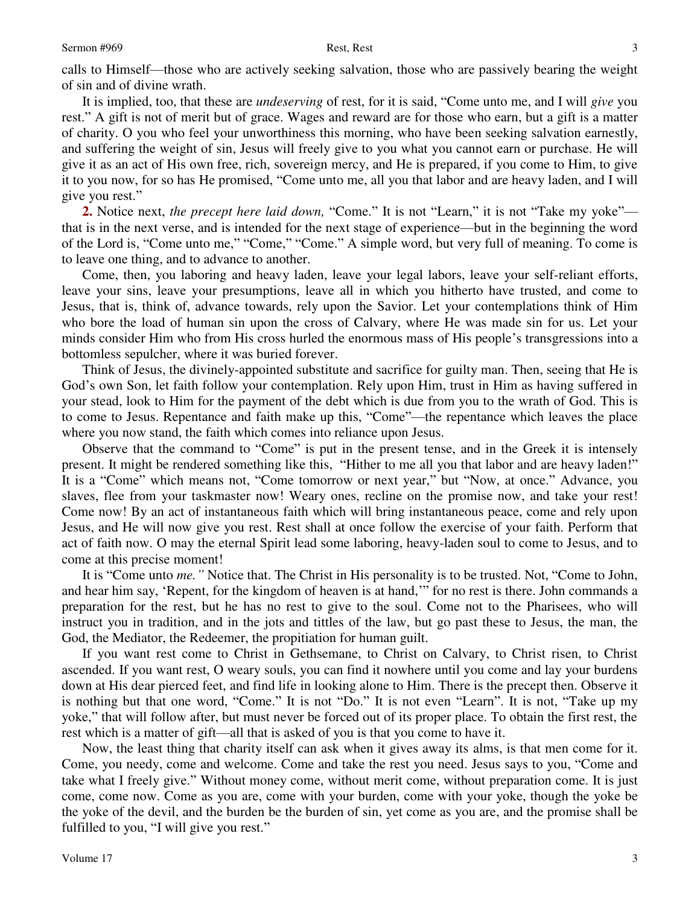calls to Himself—those who are actively seeking salvation, those who are passively bearing the weight of sin and of divine wrath.

It is implied, too, that these are *undeserving* of rest, for it is said, "Come unto me, and I will *give* you rest." A gift is not of merit but of grace. Wages and reward are for those who earn, but a gift is a matter of charity. O you who feel your unworthiness this morning, who have been seeking salvation earnestly, and suffering the weight of sin, Jesus will freely give to you what you cannot earn or purchase. He will give it as an act of His own free, rich, sovereign mercy, and He is prepared, if you come to Him, to give it to you now, for so has He promised, "Come unto me, all you that labor and are heavy laden, and I will give you rest."

**2.** Notice next, *the precept here laid down*, "Come." It is not "Learn," it is not "Take my yoke" that is in the next verse, and is intended for the next stage of experience—but in the beginning the word of the Lord is, "Come unto me," "Come," "Come." A simple word, but very full of meaning. To come is to leave one thing, and to advance to another.

Come, then, you laboring and heavy laden, leave your legal labors, leave your self-reliant efforts, leave your sins, leave your presumptions, leave all in which you hitherto have trusted, and come to Jesus, that is, think of, advance towards, rely upon the Savior. Let your contemplations think of Him who bore the load of human sin upon the cross of Calvary, where He was made sin for us. Let your minds consider Him who from His cross hurled the enormous mass of His people's transgressions into a bottomless sepulcher, where it was buried forever.

Think of Jesus, the divinely-appointed substitute and sacrifice for guilty man. Then, seeing that He is God's own Son, let faith follow your contemplation. Rely upon Him, trust in Him as having suffered in your stead, look to Him for the payment of the debt which is due from you to the wrath of God. This is to come to Jesus. Repentance and faith make up this, "Come"—the repentance which leaves the place where you now stand, the faith which comes into reliance upon Jesus.

Observe that the command to "Come" is put in the present tense, and in the Greek it is intensely present. It might be rendered something like this, "Hither to me all you that labor and are heavy laden!" It is a "Come" which means not, "Come tomorrow or next year," but "Now, at once." Advance, you slaves, flee from your taskmaster now! Weary ones, recline on the promise now, and take your rest! Come now! By an act of instantaneous faith which will bring instantaneous peace, come and rely upon Jesus, and He will now give you rest. Rest shall at once follow the exercise of your faith. Perform that act of faith now. O may the eternal Spirit lead some laboring, heavy-laden soul to come to Jesus, and to come at this precise moment!

It is "Come unto *me."* Notice that. The Christ in His personality is to be trusted. Not, "Come to John, and hear him say, 'Repent, for the kingdom of heaven is at hand,'" for no rest is there. John commands a preparation for the rest, but he has no rest to give to the soul. Come not to the Pharisees, who will instruct you in tradition, and in the jots and tittles of the law, but go past these to Jesus, the man, the God, the Mediator, the Redeemer, the propitiation for human guilt.

If you want rest come to Christ in Gethsemane, to Christ on Calvary, to Christ risen, to Christ ascended. If you want rest, O weary souls, you can find it nowhere until you come and lay your burdens down at His dear pierced feet, and find life in looking alone to Him. There is the precept then. Observe it is nothing but that one word, "Come." It is not "Do." It is not even "Learn". It is not, "Take up my yoke," that will follow after, but must never be forced out of its proper place. To obtain the first rest, the rest which is a matter of gift—all that is asked of you is that you come to have it.

Now, the least thing that charity itself can ask when it gives away its alms, is that men come for it. Come, you needy, come and welcome. Come and take the rest you need. Jesus says to you, "Come and take what I freely give." Without money come, without merit come, without preparation come. It is just come, come now. Come as you are, come with your burden, come with your yoke, though the yoke be the yoke of the devil, and the burden be the burden of sin, yet come as you are, and the promise shall be fulfilled to you, "I will give you rest."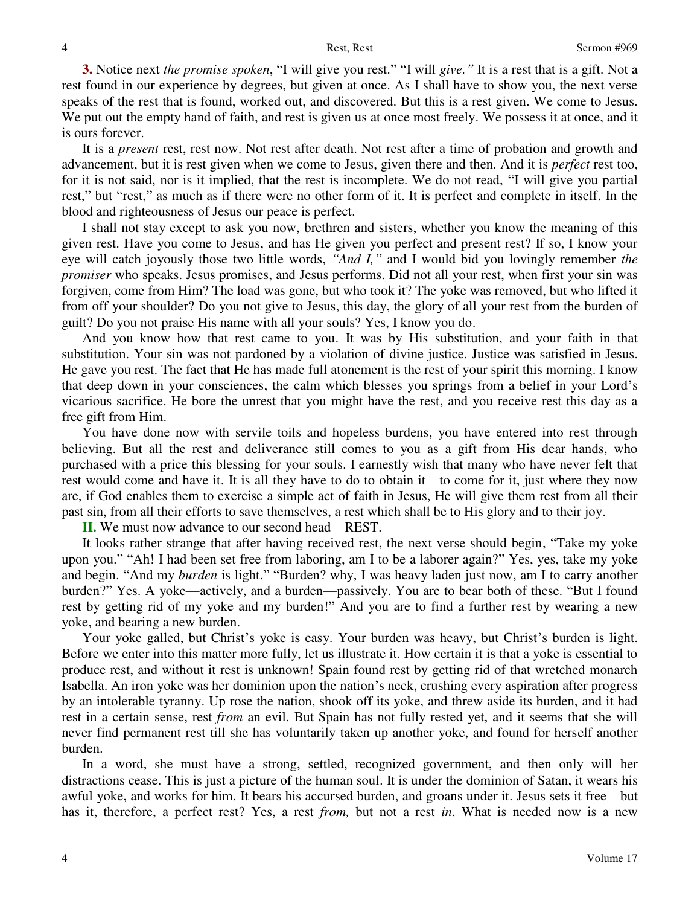**3.** Notice next *the promise spoken*, "I will give you rest." "I will *give."* It is a rest that is a gift. Not a rest found in our experience by degrees, but given at once. As I shall have to show you, the next verse speaks of the rest that is found, worked out, and discovered. But this is a rest given. We come to Jesus. We put out the empty hand of faith, and rest is given us at once most freely. We possess it at once, and it is ours forever.

It is a *present* rest, rest now. Not rest after death. Not rest after a time of probation and growth and advancement, but it is rest given when we come to Jesus, given there and then. And it is *perfect* rest too, for it is not said, nor is it implied, that the rest is incomplete. We do not read, "I will give you partial rest," but "rest," as much as if there were no other form of it. It is perfect and complete in itself. In the blood and righteousness of Jesus our peace is perfect.

I shall not stay except to ask you now, brethren and sisters, whether you know the meaning of this given rest. Have you come to Jesus, and has He given you perfect and present rest? If so, I know your eye will catch joyously those two little words, *"And I,"* and I would bid you lovingly remember *the promiser* who speaks. Jesus promises, and Jesus performs. Did not all your rest, when first your sin was forgiven, come from Him? The load was gone, but who took it? The yoke was removed, but who lifted it from off your shoulder? Do you not give to Jesus, this day, the glory of all your rest from the burden of guilt? Do you not praise His name with all your souls? Yes, I know you do.

And you know how that rest came to you. It was by His substitution, and your faith in that substitution. Your sin was not pardoned by a violation of divine justice. Justice was satisfied in Jesus. He gave you rest. The fact that He has made full atonement is the rest of your spirit this morning. I know that deep down in your consciences, the calm which blesses you springs from a belief in your Lord's vicarious sacrifice. He bore the unrest that you might have the rest, and you receive rest this day as a free gift from Him.

You have done now with servile toils and hopeless burdens, you have entered into rest through believing. But all the rest and deliverance still comes to you as a gift from His dear hands, who purchased with a price this blessing for your souls. I earnestly wish that many who have never felt that rest would come and have it. It is all they have to do to obtain it—to come for it, just where they now are, if God enables them to exercise a simple act of faith in Jesus, He will give them rest from all their past sin, from all their efforts to save themselves, a rest which shall be to His glory and to their joy.

**II.** We must now advance to our second head—REST.

It looks rather strange that after having received rest, the next verse should begin, "Take my yoke upon you." "Ah! I had been set free from laboring, am I to be a laborer again?" Yes, yes, take my yoke and begin. "And my *burden* is light." "Burden? why, I was heavy laden just now, am I to carry another burden?" Yes. A yoke—actively, and a burden—passively. You are to bear both of these. "But I found rest by getting rid of my yoke and my burden!" And you are to find a further rest by wearing a new yoke, and bearing a new burden.

Your yoke galled, but Christ's yoke is easy. Your burden was heavy, but Christ's burden is light. Before we enter into this matter more fully, let us illustrate it. How certain it is that a yoke is essential to produce rest, and without it rest is unknown! Spain found rest by getting rid of that wretched monarch Isabella. An iron yoke was her dominion upon the nation's neck, crushing every aspiration after progress by an intolerable tyranny. Up rose the nation, shook off its yoke, and threw aside its burden, and it had rest in a certain sense, rest *from* an evil. But Spain has not fully rested yet, and it seems that she will never find permanent rest till she has voluntarily taken up another yoke, and found for herself another burden.

In a word, she must have a strong, settled, recognized government, and then only will her distractions cease. This is just a picture of the human soul. It is under the dominion of Satan, it wears his awful yoke, and works for him. It bears his accursed burden, and groans under it. Jesus sets it free—but has it, therefore, a perfect rest? Yes, a rest *from,* but not a rest *in*. What is needed now is a new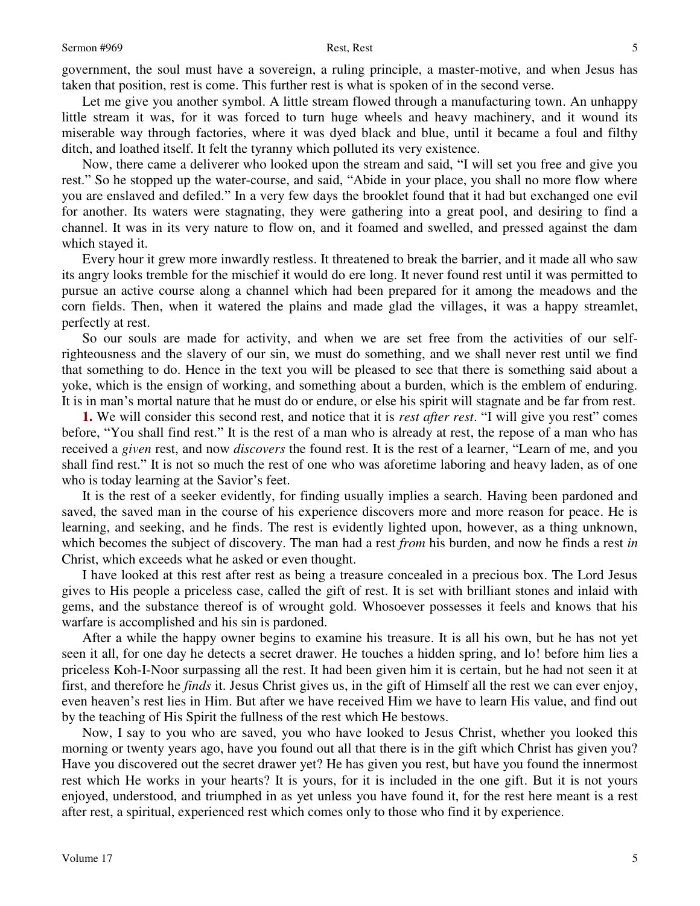5

government, the soul must have a sovereign, a ruling principle, a master-motive, and when Jesus has taken that position, rest is come. This further rest is what is spoken of in the second verse.

Let me give you another symbol. A little stream flowed through a manufacturing town. An unhappy little stream it was, for it was forced to turn huge wheels and heavy machinery, and it wound its miserable way through factories, where it was dyed black and blue, until it became a foul and filthy ditch, and loathed itself. It felt the tyranny which polluted its very existence.

Now, there came a deliverer who looked upon the stream and said, "I will set you free and give you rest." So he stopped up the water-course, and said, "Abide in your place, you shall no more flow where you are enslaved and defiled." In a very few days the brooklet found that it had but exchanged one evil for another. Its waters were stagnating, they were gathering into a great pool, and desiring to find a channel. It was in its very nature to flow on, and it foamed and swelled, and pressed against the dam which stayed it.

Every hour it grew more inwardly restless. It threatened to break the barrier, and it made all who saw its angry looks tremble for the mischief it would do ere long. It never found rest until it was permitted to pursue an active course along a channel which had been prepared for it among the meadows and the corn fields. Then, when it watered the plains and made glad the villages, it was a happy streamlet, perfectly at rest.

So our souls are made for activity, and when we are set free from the activities of our selfrighteousness and the slavery of our sin, we must do something, and we shall never rest until we find that something to do. Hence in the text you will be pleased to see that there is something said about a yoke, which is the ensign of working, and something about a burden, which is the emblem of enduring. It is in man's mortal nature that he must do or endure, or else his spirit will stagnate and be far from rest.

**1.** We will consider this second rest, and notice that it is *rest after rest*. "I will give you rest" comes before, "You shall find rest." It is the rest of a man who is already at rest, the repose of a man who has received a *given* rest, and now *discovers* the found rest. It is the rest of a learner, "Learn of me, and you shall find rest." It is not so much the rest of one who was aforetime laboring and heavy laden, as of one who is today learning at the Savior's feet.

It is the rest of a seeker evidently, for finding usually implies a search. Having been pardoned and saved, the saved man in the course of his experience discovers more and more reason for peace. He is learning, and seeking, and he finds. The rest is evidently lighted upon, however, as a thing unknown, which becomes the subject of discovery. The man had a rest *from* his burden, and now he finds a rest *in* Christ, which exceeds what he asked or even thought.

I have looked at this rest after rest as being a treasure concealed in a precious box. The Lord Jesus gives to His people a priceless case, called the gift of rest. It is set with brilliant stones and inlaid with gems, and the substance thereof is of wrought gold. Whosoever possesses it feels and knows that his warfare is accomplished and his sin is pardoned.

After a while the happy owner begins to examine his treasure. It is all his own, but he has not yet seen it all, for one day he detects a secret drawer. He touches a hidden spring, and lo! before him lies a priceless Koh-I-Noor surpassing all the rest. It had been given him it is certain, but he had not seen it at first, and therefore he *finds* it. Jesus Christ gives us, in the gift of Himself all the rest we can ever enjoy, even heaven's rest lies in Him. But after we have received Him we have to learn His value, and find out by the teaching of His Spirit the fullness of the rest which He bestows.

Now, I say to you who are saved, you who have looked to Jesus Christ, whether you looked this morning or twenty years ago, have you found out all that there is in the gift which Christ has given you? Have you discovered out the secret drawer yet? He has given you rest, but have you found the innermost rest which He works in your hearts? It is yours, for it is included in the one gift. But it is not yours enjoyed, understood, and triumphed in as yet unless you have found it, for the rest here meant is a rest after rest, a spiritual, experienced rest which comes only to those who find it by experience.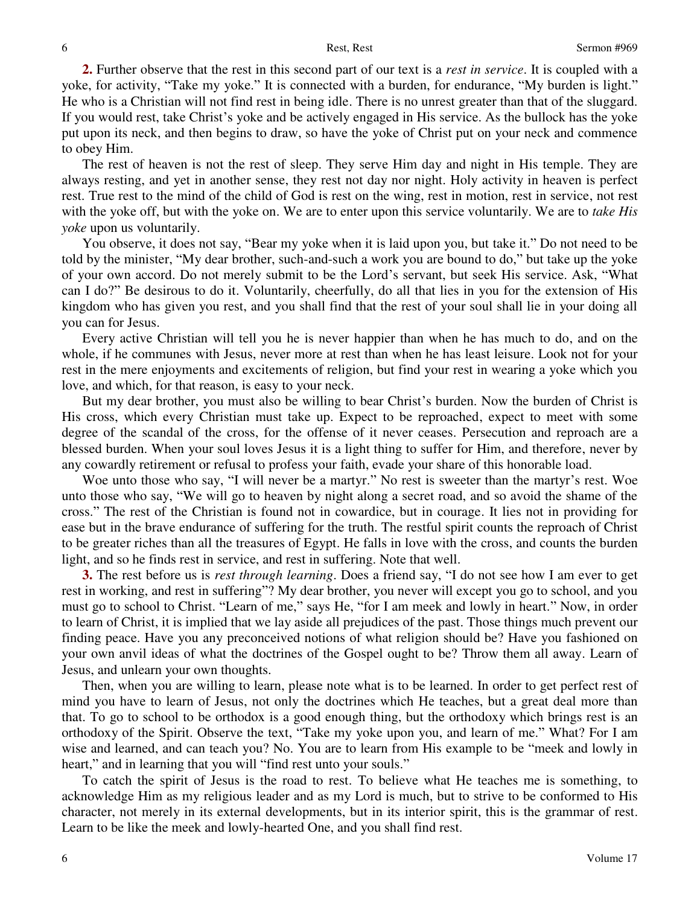**2.** Further observe that the rest in this second part of our text is a *rest in service*. It is coupled with a yoke, for activity, "Take my yoke." It is connected with a burden, for endurance, "My burden is light." He who is a Christian will not find rest in being idle. There is no unrest greater than that of the sluggard. If you would rest, take Christ's yoke and be actively engaged in His service. As the bullock has the yoke put upon its neck, and then begins to draw, so have the yoke of Christ put on your neck and commence to obey Him.

The rest of heaven is not the rest of sleep. They serve Him day and night in His temple. They are always resting, and yet in another sense, they rest not day nor night. Holy activity in heaven is perfect rest. True rest to the mind of the child of God is rest on the wing, rest in motion, rest in service, not rest with the yoke off, but with the yoke on. We are to enter upon this service voluntarily. We are to *take His yoke* upon us voluntarily.

You observe, it does not say, "Bear my yoke when it is laid upon you, but take it." Do not need to be told by the minister, "My dear brother, such-and-such a work you are bound to do," but take up the yoke of your own accord. Do not merely submit to be the Lord's servant, but seek His service. Ask, "What can I do?" Be desirous to do it. Voluntarily, cheerfully, do all that lies in you for the extension of His kingdom who has given you rest, and you shall find that the rest of your soul shall lie in your doing all you can for Jesus.

Every active Christian will tell you he is never happier than when he has much to do, and on the whole, if he communes with Jesus, never more at rest than when he has least leisure. Look not for your rest in the mere enjoyments and excitements of religion, but find your rest in wearing a yoke which you love, and which, for that reason, is easy to your neck.

But my dear brother, you must also be willing to bear Christ's burden. Now the burden of Christ is His cross, which every Christian must take up. Expect to be reproached, expect to meet with some degree of the scandal of the cross, for the offense of it never ceases. Persecution and reproach are a blessed burden. When your soul loves Jesus it is a light thing to suffer for Him, and therefore, never by any cowardly retirement or refusal to profess your faith, evade your share of this honorable load.

Woe unto those who say, "I will never be a martyr." No rest is sweeter than the martyr's rest. Woe unto those who say, "We will go to heaven by night along a secret road, and so avoid the shame of the cross." The rest of the Christian is found not in cowardice, but in courage. It lies not in providing for ease but in the brave endurance of suffering for the truth. The restful spirit counts the reproach of Christ to be greater riches than all the treasures of Egypt. He falls in love with the cross, and counts the burden light, and so he finds rest in service, and rest in suffering. Note that well.

**3.** The rest before us is *rest through learning*. Does a friend say, "I do not see how I am ever to get rest in working, and rest in suffering"? My dear brother, you never will except you go to school, and you must go to school to Christ. "Learn of me," says He, "for I am meek and lowly in heart." Now, in order to learn of Christ, it is implied that we lay aside all prejudices of the past. Those things much prevent our finding peace. Have you any preconceived notions of what religion should be? Have you fashioned on your own anvil ideas of what the doctrines of the Gospel ought to be? Throw them all away. Learn of Jesus, and unlearn your own thoughts.

Then, when you are willing to learn, please note what is to be learned. In order to get perfect rest of mind you have to learn of Jesus, not only the doctrines which He teaches, but a great deal more than that. To go to school to be orthodox is a good enough thing, but the orthodoxy which brings rest is an orthodoxy of the Spirit. Observe the text, "Take my yoke upon you, and learn of me." What? For I am wise and learned, and can teach you? No. You are to learn from His example to be "meek and lowly in heart," and in learning that you will "find rest unto your souls."

To catch the spirit of Jesus is the road to rest. To believe what He teaches me is something, to acknowledge Him as my religious leader and as my Lord is much, but to strive to be conformed to His character, not merely in its external developments, but in its interior spirit, this is the grammar of rest. Learn to be like the meek and lowly-hearted One, and you shall find rest.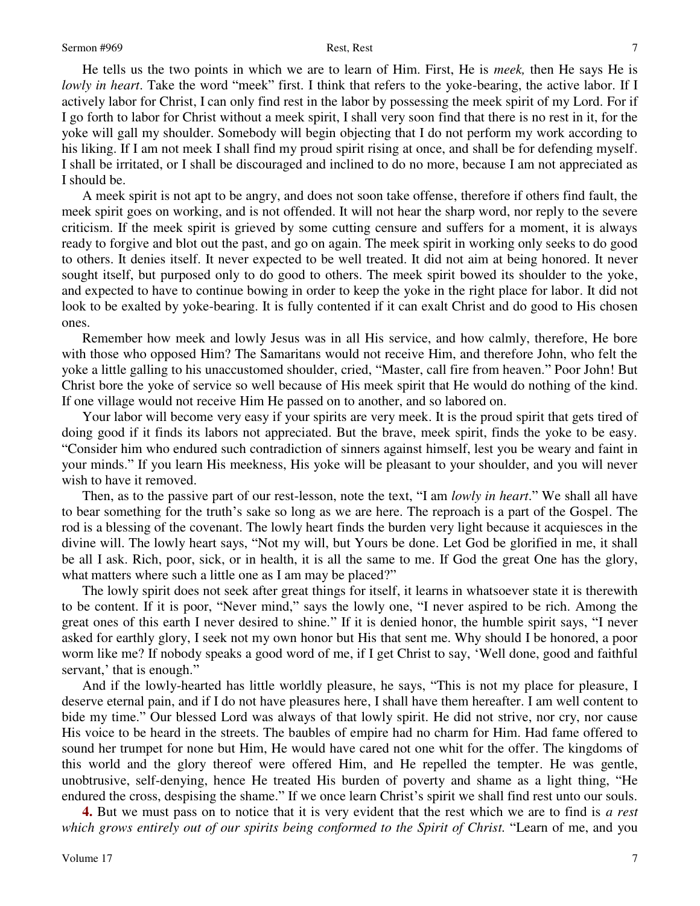### Sermon #969 Rest, Rest

He tells us the two points in which we are to learn of Him. First, He is *meek,* then He says He is *lowly in heart*. Take the word "meek" first. I think that refers to the yoke-bearing, the active labor. If I actively labor for Christ, I can only find rest in the labor by possessing the meek spirit of my Lord. For if I go forth to labor for Christ without a meek spirit, I shall very soon find that there is no rest in it, for the yoke will gall my shoulder. Somebody will begin objecting that I do not perform my work according to his liking. If I am not meek I shall find my proud spirit rising at once, and shall be for defending myself. I shall be irritated, or I shall be discouraged and inclined to do no more, because I am not appreciated as I should be.

A meek spirit is not apt to be angry, and does not soon take offense, therefore if others find fault, the meek spirit goes on working, and is not offended. It will not hear the sharp word, nor reply to the severe criticism. If the meek spirit is grieved by some cutting censure and suffers for a moment, it is always ready to forgive and blot out the past, and go on again. The meek spirit in working only seeks to do good to others. It denies itself. It never expected to be well treated. It did not aim at being honored. It never sought itself, but purposed only to do good to others. The meek spirit bowed its shoulder to the yoke, and expected to have to continue bowing in order to keep the yoke in the right place for labor. It did not look to be exalted by yoke-bearing. It is fully contented if it can exalt Christ and do good to His chosen ones.

Remember how meek and lowly Jesus was in all His service, and how calmly, therefore, He bore with those who opposed Him? The Samaritans would not receive Him, and therefore John, who felt the yoke a little galling to his unaccustomed shoulder, cried, "Master, call fire from heaven." Poor John! But Christ bore the yoke of service so well because of His meek spirit that He would do nothing of the kind. If one village would not receive Him He passed on to another, and so labored on.

Your labor will become very easy if your spirits are very meek. It is the proud spirit that gets tired of doing good if it finds its labors not appreciated. But the brave, meek spirit, finds the yoke to be easy. "Consider him who endured such contradiction of sinners against himself, lest you be weary and faint in your minds." If you learn His meekness, His yoke will be pleasant to your shoulder, and you will never wish to have it removed.

Then, as to the passive part of our rest-lesson, note the text, "I am *lowly in heart*." We shall all have to bear something for the truth's sake so long as we are here. The reproach is a part of the Gospel. The rod is a blessing of the covenant. The lowly heart finds the burden very light because it acquiesces in the divine will. The lowly heart says, "Not my will, but Yours be done. Let God be glorified in me, it shall be all I ask. Rich, poor, sick, or in health, it is all the same to me. If God the great One has the glory, what matters where such a little one as I am may be placed?"

The lowly spirit does not seek after great things for itself, it learns in whatsoever state it is therewith to be content. If it is poor, "Never mind," says the lowly one, "I never aspired to be rich. Among the great ones of this earth I never desired to shine." If it is denied honor, the humble spirit says, "I never asked for earthly glory, I seek not my own honor but His that sent me. Why should I be honored, a poor worm like me? If nobody speaks a good word of me, if I get Christ to say, 'Well done, good and faithful servant,' that is enough."

And if the lowly-hearted has little worldly pleasure, he says, "This is not my place for pleasure, I deserve eternal pain, and if I do not have pleasures here, I shall have them hereafter. I am well content to bide my time." Our blessed Lord was always of that lowly spirit. He did not strive, nor cry, nor cause His voice to be heard in the streets. The baubles of empire had no charm for Him. Had fame offered to sound her trumpet for none but Him, He would have cared not one whit for the offer. The kingdoms of this world and the glory thereof were offered Him, and He repelled the tempter. He was gentle, unobtrusive, self-denying, hence He treated His burden of poverty and shame as a light thing, "He endured the cross, despising the shame." If we once learn Christ's spirit we shall find rest unto our souls.

**4.** But we must pass on to notice that it is very evident that the rest which we are to find is *a rest which grows entirely out of our spirits being conformed to the Spirit of Christ.* "Learn of me, and you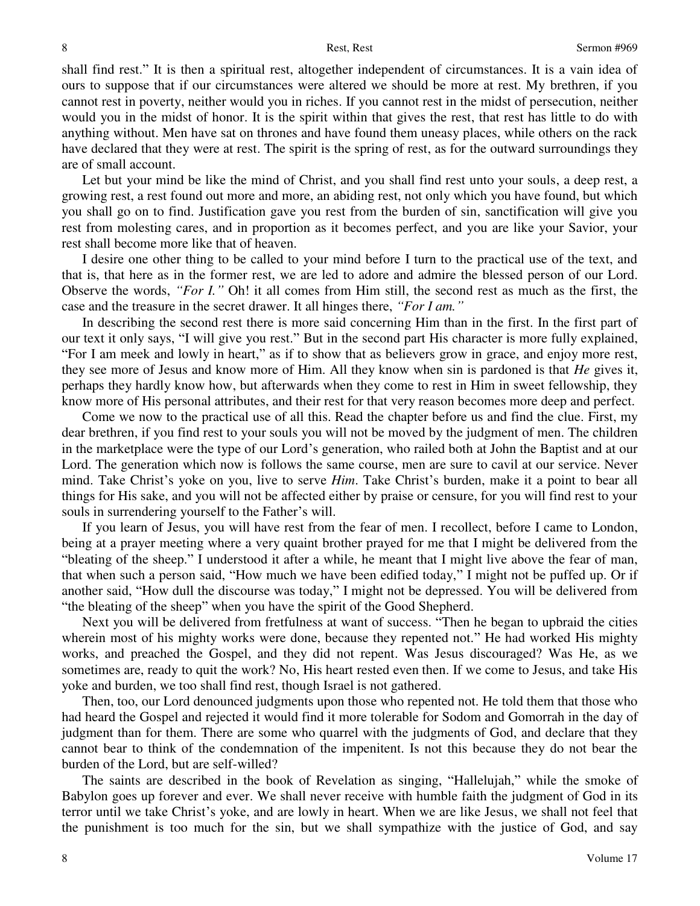shall find rest." It is then a spiritual rest, altogether independent of circumstances. It is a vain idea of ours to suppose that if our circumstances were altered we should be more at rest. My brethren, if you cannot rest in poverty, neither would you in riches. If you cannot rest in the midst of persecution, neither would you in the midst of honor. It is the spirit within that gives the rest, that rest has little to do with anything without. Men have sat on thrones and have found them uneasy places, while others on the rack have declared that they were at rest. The spirit is the spring of rest, as for the outward surroundings they are of small account.

Let but your mind be like the mind of Christ, and you shall find rest unto your souls, a deep rest, a growing rest, a rest found out more and more, an abiding rest, not only which you have found, but which you shall go on to find. Justification gave you rest from the burden of sin, sanctification will give you rest from molesting cares, and in proportion as it becomes perfect, and you are like your Savior, your rest shall become more like that of heaven.

I desire one other thing to be called to your mind before I turn to the practical use of the text, and that is, that here as in the former rest, we are led to adore and admire the blessed person of our Lord. Observe the words, *"For I."* Oh! it all comes from Him still, the second rest as much as the first, the case and the treasure in the secret drawer. It all hinges there, *"For I am."*

In describing the second rest there is more said concerning Him than in the first. In the first part of our text it only says, "I will give you rest." But in the second part His character is more fully explained, "For I am meek and lowly in heart," as if to show that as believers grow in grace, and enjoy more rest, they see more of Jesus and know more of Him. All they know when sin is pardoned is that *He* gives it, perhaps they hardly know how, but afterwards when they come to rest in Him in sweet fellowship, they know more of His personal attributes, and their rest for that very reason becomes more deep and perfect.

Come we now to the practical use of all this. Read the chapter before us and find the clue. First, my dear brethren, if you find rest to your souls you will not be moved by the judgment of men. The children in the marketplace were the type of our Lord's generation, who railed both at John the Baptist and at our Lord. The generation which now is follows the same course, men are sure to cavil at our service. Never mind. Take Christ's yoke on you, live to serve *Him*. Take Christ's burden, make it a point to bear all things for His sake, and you will not be affected either by praise or censure, for you will find rest to your souls in surrendering yourself to the Father's will.

If you learn of Jesus, you will have rest from the fear of men. I recollect, before I came to London, being at a prayer meeting where a very quaint brother prayed for me that I might be delivered from the "bleating of the sheep." I understood it after a while, he meant that I might live above the fear of man, that when such a person said, "How much we have been edified today," I might not be puffed up. Or if another said, "How dull the discourse was today," I might not be depressed. You will be delivered from "the bleating of the sheep" when you have the spirit of the Good Shepherd.

Next you will be delivered from fretfulness at want of success. "Then he began to upbraid the cities wherein most of his mighty works were done, because they repented not." He had worked His mighty works, and preached the Gospel, and they did not repent. Was Jesus discouraged? Was He, as we sometimes are, ready to quit the work? No, His heart rested even then. If we come to Jesus, and take His yoke and burden, we too shall find rest, though Israel is not gathered.

Then, too, our Lord denounced judgments upon those who repented not. He told them that those who had heard the Gospel and rejected it would find it more tolerable for Sodom and Gomorrah in the day of judgment than for them. There are some who quarrel with the judgments of God, and declare that they cannot bear to think of the condemnation of the impenitent. Is not this because they do not bear the burden of the Lord, but are self-willed?

The saints are described in the book of Revelation as singing, "Hallelujah," while the smoke of Babylon goes up forever and ever. We shall never receive with humble faith the judgment of God in its terror until we take Christ's yoke, and are lowly in heart. When we are like Jesus, we shall not feel that the punishment is too much for the sin, but we shall sympathize with the justice of God, and say

8